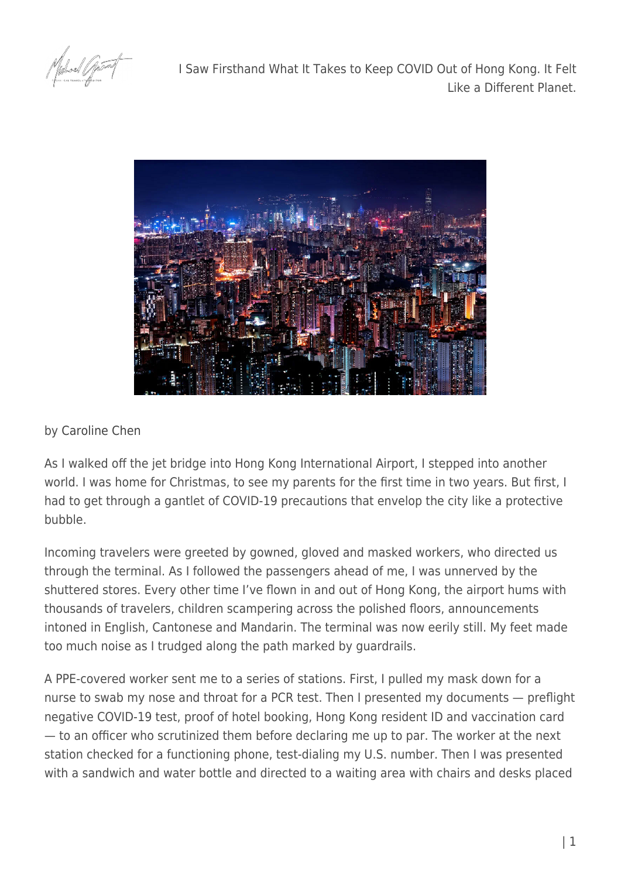I Saw Firsthand What It Takes to Keep COVID Out of Hong Kong. It Felt Like a Different Planet.



## by [Caroline Chen](https://www.propublica.org/people/caroline-chen)

As I walked off the jet bridge into Hong Kong International Airport, I stepped into another world. I was home for Christmas, to see my parents for the first time in two years. But first, I had to get through a gantlet of COVID-19 precautions that envelop the city like a protective bubble.

Incoming travelers were greeted by gowned, gloved and masked workers, who directed us through the terminal. As I followed the passengers ahead of me, I was unnerved by the shuttered stores. Every other time I've flown in and out of Hong Kong, the airport hums with thousands of travelers, children scampering across the polished floors, announcements intoned in English, Cantonese and Mandarin. The terminal was now eerily still. My feet made too much noise as I trudged along the path marked by guardrails.

A PPE-covered worker sent me to a series of stations. First, I pulled my mask down for a nurse to swab my nose and throat for a PCR test. Then I presented my documents — preflight negative COVID-19 test, proof of hotel booking, Hong Kong resident ID and vaccination card — to an officer who scrutinized them before declaring me up to par. The worker at the next station checked for a functioning phone, test-dialing my U.S. number. Then I was presented with a sandwich and water bottle and directed to a waiting area with chairs and desks placed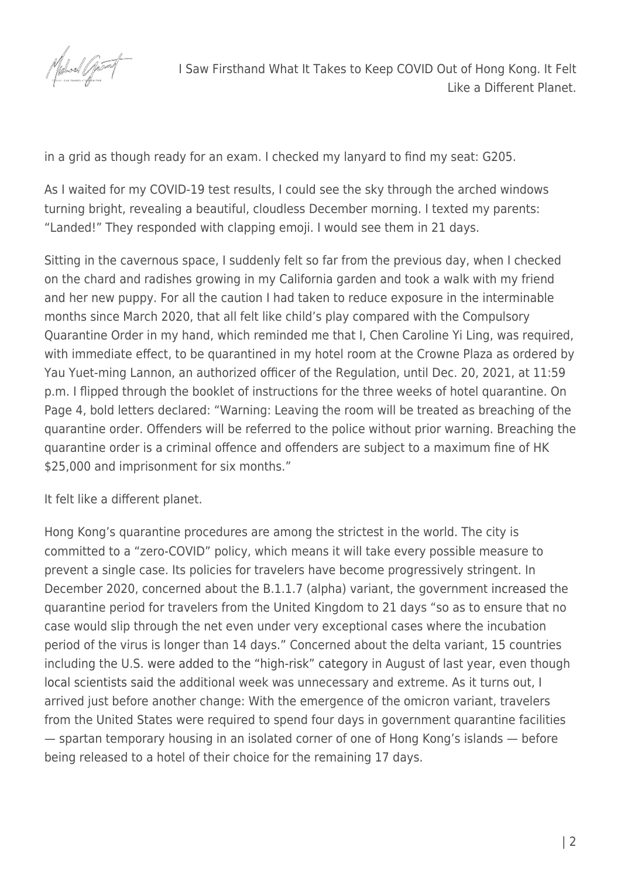

in a grid as though ready for an exam. I checked my lanyard to find my seat: G205.

As I waited for my COVID-19 test results, I could see the sky through the arched windows turning bright, revealing a beautiful, cloudless December morning. I texted my parents: "Landed!" They responded with clapping emoji. I would see them in 21 days.

Sitting in the cavernous space, I suddenly felt so far from the previous day, when I checked on the chard and radishes growing in my California garden and took a walk with my friend and her new puppy. For all the caution I had taken to reduce exposure in the interminable months since March 2020, that all felt like child's play compared with the Compulsory Quarantine Order in my hand, which reminded me that I, Chen Caroline Yi Ling, was required, with immediate effect, to be quarantined in my hotel room at the Crowne Plaza as ordered by Yau Yuet-ming Lannon, an authorized officer of the Regulation, until Dec. 20, 2021, at 11:59 p.m. I flipped through the booklet of instructions for the three weeks of hotel quarantine. On Page 4, bold letters declared: "Warning: Leaving the room will be treated as breaching of the quarantine order. Offenders will be referred to the police without prior warning. Breaching the quarantine order is a criminal offence and offenders are subject to a maximum fine of HK \$25,000 and imprisonment for six months."

It felt like a different planet.

Hong Kong's quarantine procedures are among the strictest in the world. The city is committed to a "zero-COVID" policy, which means it will take every possible measure to prevent a single case. Its policies for travelers have become progressively stringent. In December 2020, concerned about the B.1.1.7 (alpha) variant, the government [increased](https://www.info.gov.hk/gia/general/202012/24/P2020122400141.htm) the quarantine period for travelers from the United Kingdom to 21 days "so as to ensure that no case would slip through the net even under very exceptional cases where the incubation period of the virus is longer than 14 days." Concerned about the delta variant, 15 countries including the U.S. [were added to the "high-risk" category](https://www.scmp.com/news/hong-kong/health-environment/article/3145850/coronavirus-hong-kongs-21-day-quarantine?module=perpetual_scroll_0&pgtype=article&campaign=3145850) in August of last year, even though [local scientists said](https://hongkongfp.com/2021/09/14/covid-19-hong-kongs-21-day-quarantine-for-travellers-not-necessary-says-expert/) the additional week was unnecessary and extreme. As it turns out, I arrived just before another change: With the emergence of the omicron variant, travelers from the United States were required to spend four days in government quarantine facilities — spartan temporary housing in an isolated corner of one of Hong Kong's islands — before being released to a hotel of their choice for the remaining 17 days.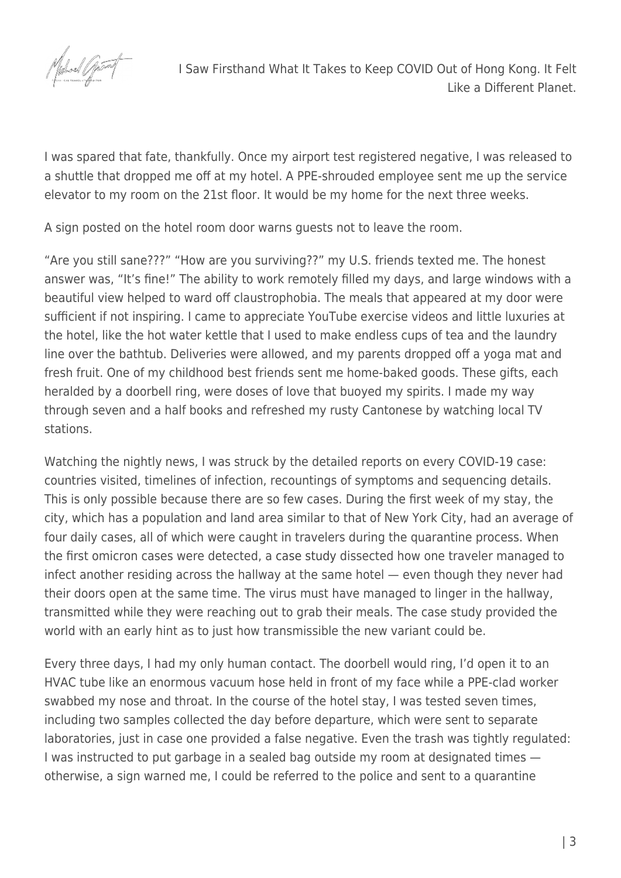

I was spared that fate, thankfully. Once my airport test registered negative, I was released to a shuttle that dropped me off at my hotel. A PPE-shrouded employee sent me up the service elevator to my room on the 21st floor. It would be my home for the next three weeks.

A sign posted on the hotel room door warns guests not to leave the room.

"Are you still sane???" "How are you surviving??" my U.S. friends texted me. The honest answer was, "It's fine!" The ability to work remotely filled my days, and large windows with a beautiful view helped to ward off claustrophobia. The meals that appeared at my door were sufficient if not inspiring. I came to appreciate YouTube exercise videos and little luxuries at the hotel, like the hot water kettle that I used to make endless cups of tea and the laundry line over the bathtub. Deliveries were allowed, and my parents dropped off a yoga mat and fresh fruit. One of my childhood best friends sent me home-baked goods. These gifts, each heralded by a doorbell ring, were doses of love that buoyed my spirits. I made my way through seven and a half books and refreshed my rusty Cantonese by watching local TV stations.

Watching the nightly news, I was struck by the detailed reports on every COVID-19 case: countries visited, timelines of infection, recountings of symptoms and sequencing details. This is only possible because there are so few cases. During the first week of my stay, the city, which has a population and land area similar to that of New York City, had an average of four daily cases, all of which were caught in travelers during the quarantine process. When the first omicron cases were detected, a [case study](https://wwwnc.cdc.gov/eid/article/28/2/21-2422_article) dissected how one traveler managed to infect another residing across the hallway at the same hotel — even though they never had their doors open at the same time. The virus must have managed to linger in the hallway, transmitted while they were reaching out to grab their meals. The case study provided the world with an early hint as to just how transmissible the new variant could be.

Every three days, I had my only human contact. The doorbell would ring, I'd open it to an HVAC tube like an enormous vacuum hose held in front of my face while a PPE-clad worker swabbed my nose and throat. In the course of the hotel stay, I was tested seven times, including two samples collected the day before departure, which were sent to separate laboratories, just in case one provided a false negative. Even the trash was tightly regulated: I was instructed to put garbage in a sealed bag outside my room at designated times otherwise, a sign warned me, I could be referred to the police and sent to a quarantine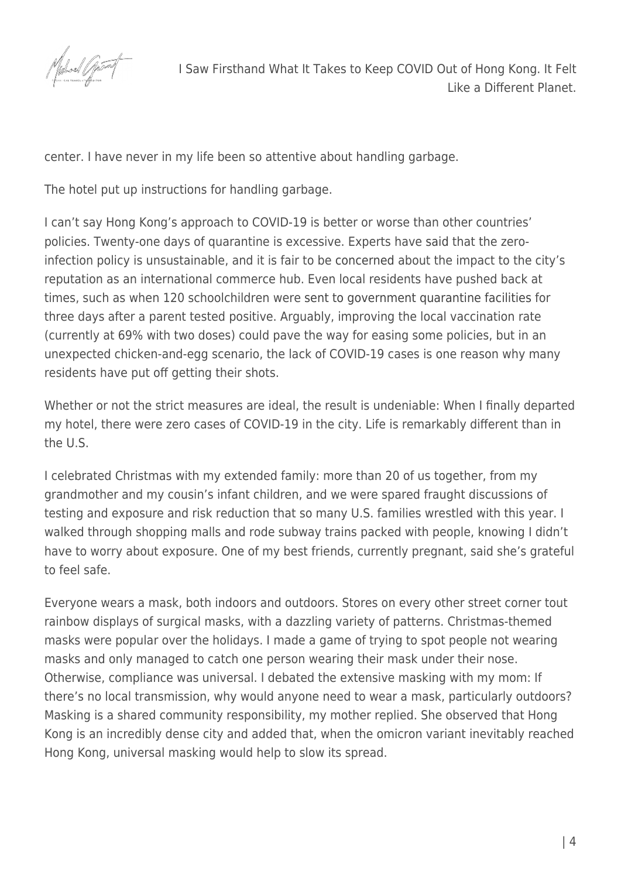

center. I have never in my life been so attentive about handling garbage.

The hotel put up instructions for handling garbage.

I can't say Hong Kong's approach to COVID-19 is better or worse than other countries' policies. Twenty-one days of quarantine is excessive. Experts have [said](https://www.scmp.com/news/hong-kong/health-environment/article/3161244/coronavirus-hong-kong-mandate-hotel-quarantine) that the zeroinfection policy is unsustainable, and it is fair to be [concerned](https://www.theguardian.com/world/2021/oct/28/hong-kong-doubles-down-on-covid-restrictions-to-fall-into-line-with-mainland-china) about the impact to the city's reputation as an international commerce hub. Even local residents have pushed back at times, such as when 120 schoolchildren were [sent to government quarantine facilities](https://www.bloomberg.com/news/articles/2021-11-11/hong-kong-quarantines-120-kids-after-classmate-s-dad-gets-covid) for three days after a parent tested positive. Arguably, improving the local vaccination rate (currently at 69% with two doses) could pave the way for easing some policies, but in an unexpected chicken-and-egg scenario, the lack of COVID-19 cases is one reason why many residents have put off getting their shots.

Whether or not the strict measures are ideal, the result is undeniable: When I finally departed my hotel, there were zero cases of COVID-19 in the city. Life is remarkably different than in the U.S.

I celebrated Christmas with my extended family: more than 20 of us together, from my grandmother and my cousin's infant children, and we were spared fraught discussions of testing and exposure and risk reduction that so many U.S. families wrestled with this year. I walked through shopping malls and rode subway trains packed with people, knowing I didn't have to worry about exposure. One of my best friends, currently pregnant, said she's grateful to feel safe.

Everyone wears a mask, both indoors and outdoors. Stores on every other street corner tout rainbow displays of surgical masks, with a dazzling variety of patterns. Christmas-themed masks were popular over the holidays. I made a game of trying to spot people not wearing masks and only managed to catch one person wearing their mask under their nose. Otherwise, compliance was universal. I debated the extensive masking with my mom: If there's no local transmission, why would anyone need to wear a mask, particularly outdoors? Masking is a shared community responsibility, my mother replied. She observed that Hong Kong is an incredibly dense city and added that, when the omicron variant inevitably reached Hong Kong, universal masking would help to slow its spread.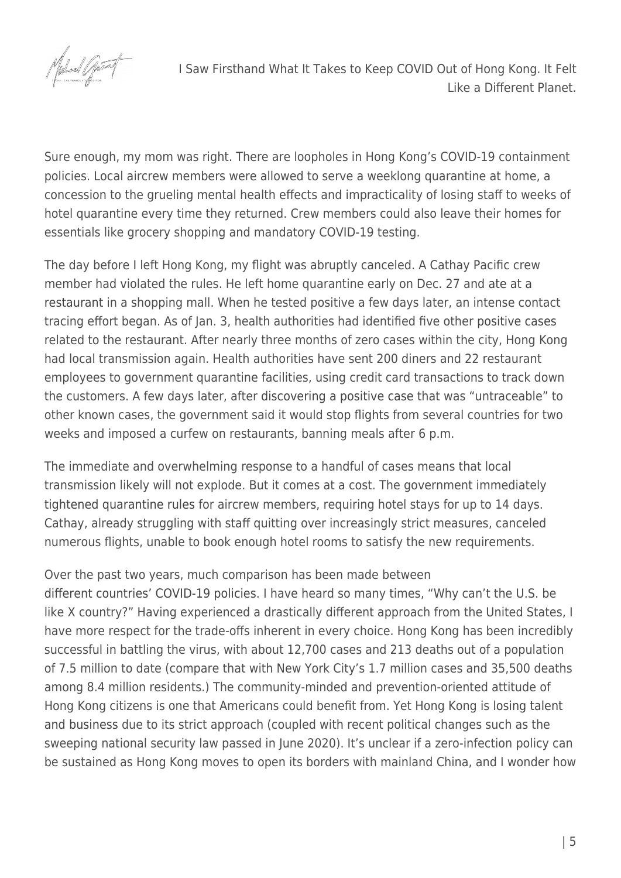

I Saw Firsthand What It Takes to Keep COVID Out of Hong Kong. It Felt Like a Different Planet.

Sure enough, my mom was right. There are loopholes in Hong Kong's COVID-19 containment policies. Local aircrew members were allowed to serve a weeklong quarantine at home, a concession to the grueling mental health effects and impracticality of losing staff to weeks of hotel quarantine every time they returned. Crew members could also leave their homes for essentials like grocery shopping and mandatory COVID-19 testing.

The day before I left Hong Kong, my flight was abruptly canceled. A Cathay Pacific crew member had violated the rules. He left home quarantine early on Dec. 27 and [ate at a](https://www.scmp.com/news/hong-kong/health-environment/article/3161653/omicron-variant-new-years-eve-expected-mark-end) [restaurant](https://www.scmp.com/news/hong-kong/health-environment/article/3161653/omicron-variant-new-years-eve-expected-mark-end) in a shopping mall. When he tested positive a few days later, an intense contact tracing effort began. As of Jan. 3, health authorities had identified five other [positive cases](https://www.scmp.com/news/hong-kong/health-environment/article/3161915/omicron-hong-kongs-moon-palace-restaurant-cluster?module=lead_hero_story&pgtype=homepage) related to the restaurant. After nearly three months of zero cases within the city, Hong Kong had local transmission again. Health authorities have sent 200 diners and 22 restaurant employees to government quarantine facilities, using credit card transactions to track down the customers. A few days later, after [discovering a positive case](https://www.scmp.com/news/hong-kong/health-environment/article/3162088/coronavirus-hong-kong-reports-first-untraceable) that was "untraceable" to other known cases, the government said it would [stop flights](https://www.scmp.com/news/hong-kong/health-environment/article/3162190/coronavirus-hong-kongs-fifth-wave-has-already?module=lead_hero_story&pgtype=homepage) from several countries for two weeks and imposed a curfew on restaurants, banning meals after 6 p.m.

The immediate and overwhelming response to a handful of cases means that local transmission likely will not explode. But it comes at a cost. The government immediately [tightened quarantine rules](https://www.scmp.com/news/hong-kong/transport/article/3161465/coronavirus-hong-kong-axe-all-quarantine-related) for aircrew members, requiring hotel stays for up to 14 days. Cathay, already struggling with staff quitting over increasingly strict measures, canceled numerous flights, unable to book enough hotel rooms to satisfy the new requirements.

## Over the past two years, much comparison has been made between

[different countries' COVID-19 policies.](https://www.propublica.org/article/coronavirus-advice-from-abroad-7-lessons-americas-governors-should-not-ignore-as-they-reopen-their-economies) I have heard so many times, "Why can't the U.S. be like X country?" Having experienced a drastically different approach from the United States, I have more respect for the trade-offs inherent in every choice. Hong Kong has been incredibly successful in battling the virus, with about 12,700 cases and 213 deaths out of a population of 7.5 million to date (compare that with New York City's 1.7 million cases and 35,500 deaths among 8.4 million residents.) The community-minded and prevention-oriented attitude of Hong Kong citizens is one that Americans could benefit from. Yet Hong Kong is [losing talent](https://www.washingtonpost.com/world/2021/12/27/covid-hong-kong-quarantine-omicron/) [and business](https://www.washingtonpost.com/world/2021/12/27/covid-hong-kong-quarantine-omicron/) due to its strict approach (coupled with recent political changes such as the sweeping national security law passed in June 2020). It's unclear if a zero-infection policy can be sustained as Hong Kong moves to open its borders with mainland China, and I wonder how